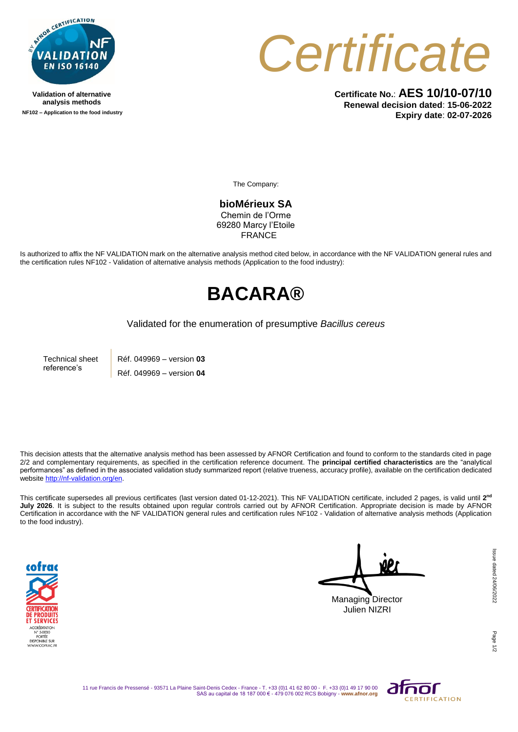

**Validation of alternative analysis methods NF102 – Application to the food industry**



**Certificate No.**: **AES 10/10-07/10 Renewal decision dated**: **15-06-2022 Expiry date**: **02-07-2026**

The Company:

**bioMérieux SA** Chemin de l'Orme 69280 Marcy l'Etoile **FRANCE** 

Is authorized to affix the NF VALIDATION mark on the alternative analysis method cited below, in accordance with the NF VALIDATION general rules and the certification rules NF102 - Validation of alternative analysis methods (Application to the food industry):

## **BACARA®**

Validated for the enumeration of presumptive *Bacillus cereus*

Technical sheet reference's Réf. 049969 – version **03** Réf. 049969 – version **04**

This decision attests that the alternative analysis method has been assessed by AFNOR Certification and found to conform to the standards cited in page 2/2 and complementary requirements, as specified in the certification reference document. The **principal certified characteristics** are the "analytical performances" as defined in the associated validation study summarized report (relative trueness, accuracy profile), available on the certification dedicated websit[e http://nf-validation.org/en.](http://nf-validation.org/en)

This certificate supersedes all previous certificates (last version dated 01-12-2021). This NF VALIDATION certificate, included 2 pages, is valid until **2 nd July 2026**. It is subject to the results obtained upon regular controls carried out by AFNOR Certification. Appropriate decision is made by AFNOR Certification in accordance with the NF VALIDATION general rules and certification rules NF102 - Validation of alternative analysis methods (Application to the food industry).



Managing Director Julien NIZRI

Page